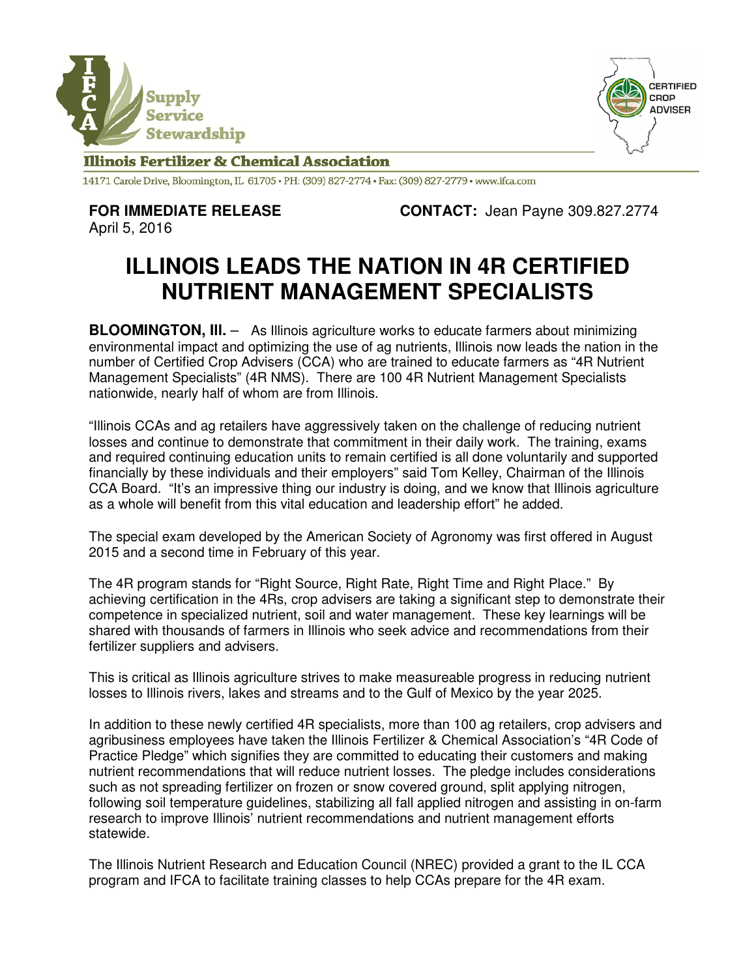



## **Illinois Fertilizer & Chemical Association**

14171 Carole Drive, Bloomington, IL 61705 · PH: (309) 827-2774 · Fax: (309) 827-2779 · www.ifca.com

**FOR IMMEDIATE RELEASE CONTACT:** Jean Payne 309.827.2774

April 5, 2016

## **ILLINOIS LEADS THE NATION IN 4R CERTIFIED NUTRIENT MANAGEMENT SPECIALISTS**

**BLOOMINGTON, III.** - As Illinois agriculture works to educate farmers about minimizing environmental impact and optimizing the use of ag nutrients, Illinois now leads the nation in the number of Certified Crop Advisers (CCA) who are trained to educate farmers as "4R Nutrient Management Specialists" (4R NMS). There are 100 4R Nutrient Management Specialists nationwide, nearly half of whom are from Illinois.

"Illinois CCAs and ag retailers have aggressively taken on the challenge of reducing nutrient losses and continue to demonstrate that commitment in their daily work. The training, exams and required continuing education units to remain certified is all done voluntarily and supported financially by these individuals and their employers" said Tom Kelley, Chairman of the Illinois CCA Board. "It's an impressive thing our industry is doing, and we know that Illinois agriculture as a whole will benefit from this vital education and leadership effort" he added.

The special exam developed by the American Society of Agronomy was first offered in August 2015 and a second time in February of this year.

The 4R program stands for "Right Source, Right Rate, Right Time and Right Place." By achieving certification in the 4Rs, crop advisers are taking a significant step to demonstrate their competence in specialized nutrient, soil and water management. These key learnings will be shared with thousands of farmers in Illinois who seek advice and recommendations from their fertilizer suppliers and advisers.

This is critical as Illinois agriculture strives to make measureable progress in reducing nutrient losses to Illinois rivers, lakes and streams and to the Gulf of Mexico by the year 2025.

In addition to these newly certified 4R specialists, more than 100 ag retailers, crop advisers and agribusiness employees have taken the Illinois Fertilizer & Chemical Association's "4R Code of Practice Pledge" which signifies they are committed to educating their customers and making nutrient recommendations that will reduce nutrient losses. The pledge includes considerations such as not spreading fertilizer on frozen or snow covered ground, split applying nitrogen, following soil temperature guidelines, stabilizing all fall applied nitrogen and assisting in on-farm research to improve Illinois' nutrient recommendations and nutrient management efforts statewide.

The Illinois Nutrient Research and Education Council (NREC) provided a grant to the IL CCA program and IFCA to facilitate training classes to help CCAs prepare for the 4R exam.